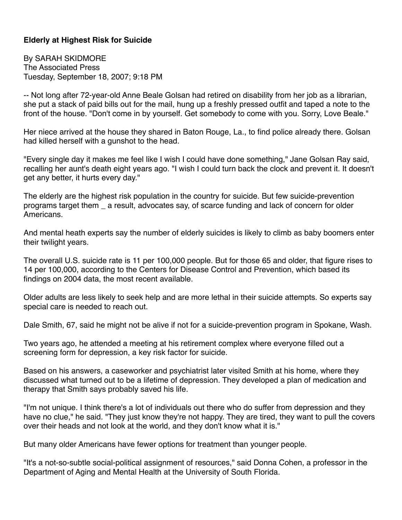## **Elderly at Highest Risk for Suicide**

By SARAH SKIDMORE The Associated Press Tuesday, September 18, 2007; 9:18 PM

-- Not long after 72-year-old Anne Beale Golsan had retired on disability from her job as a librarian, she put a stack of paid bills out for the mail, hung up a freshly pressed outfit and taped a note to the front of the house. "Don't come in by yourself. Get somebody to come with you. Sorry, Love Beale."

Her niece arrived at the house they shared in Baton Rouge, La., to find police already there. Golsan had killed herself with a gunshot to the head.

"Every single day it makes me feel like I wish I could have done something," Jane Golsan Ray said, recalling her aunt's death eight years ago. "I wish I could turn back the clock and prevent it. It doesn't get any better, it hurts every day."

The elderly are the highest risk population in the country for suicide. But few suicide-prevention programs target them \_ a result, advocates say, of scarce funding and lack of concern for older Americans.

And mental heath experts say the number of elderly suicides is likely to climb as baby boomers enter their twilight years.

The overall U.S. suicide rate is 11 per 100,000 people. But for those 65 and older, that figure rises to 14 per 100,000, according to the Centers for Disease Control and Prevention, which based its findings on 2004 data, the most recent available.

Older adults are less likely to seek help and are more lethal in their suicide attempts. So experts say special care is needed to reach out.

Dale Smith, 67, said he might not be alive if not for a suicide-prevention program in Spokane, Wash.

Two years ago, he attended a meeting at his retirement complex where everyone filled out a screening form for depression, a key risk factor for suicide.

Based on his answers, a caseworker and psychiatrist later visited Smith at his home, where they discussed what turned out to be a lifetime of depression. They developed a plan of medication and therapy that Smith says probably saved his life.

"I'm not unique. I think there's a lot of individuals out there who do suffer from depression and they have no clue," he said. "They just know they're not happy. They are tired, they want to pull the covers over their heads and not look at the world, and they don't know what it is."

But many older Americans have fewer options for treatment than younger people.

"It's a not-so-subtle social-political assignment of resources," said Donna Cohen, a professor in the Department of Aging and Mental Health at the University of South Florida.